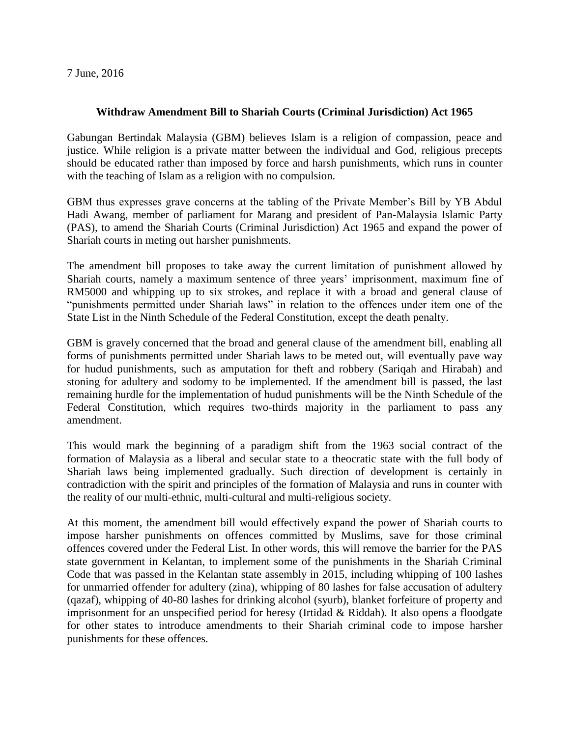7 June, 2016

## **Withdraw Amendment Bill to Shariah Courts (Criminal Jurisdiction) Act 1965**

Gabungan Bertindak Malaysia (GBM) believes Islam is a religion of compassion, peace and justice. While religion is a private matter between the individual and God, religious precepts should be educated rather than imposed by force and harsh punishments, which runs in counter with the teaching of Islam as a religion with no compulsion.

GBM thus expresses grave concerns at the tabling of the Private Member's Bill by YB Abdul Hadi Awang, member of parliament for Marang and president of Pan-Malaysia Islamic Party (PAS), to amend the Shariah Courts (Criminal Jurisdiction) Act 1965 and expand the power of Shariah courts in meting out harsher punishments.

The amendment bill proposes to take away the current limitation of punishment allowed by Shariah courts, namely a maximum sentence of three years' imprisonment, maximum fine of RM5000 and whipping up to six strokes, and replace it with a broad and general clause of "punishments permitted under Shariah laws" in relation to the offences under item one of the State List in the Ninth Schedule of the Federal Constitution, except the death penalty.

GBM is gravely concerned that the broad and general clause of the amendment bill, enabling all forms of punishments permitted under Shariah laws to be meted out, will eventually pave way for hudud punishments, such as amputation for theft and robbery (Sariqah and Hirabah) and stoning for adultery and sodomy to be implemented. If the amendment bill is passed, the last remaining hurdle for the implementation of hudud punishments will be the Ninth Schedule of the Federal Constitution, which requires two-thirds majority in the parliament to pass any amendment.

This would mark the beginning of a paradigm shift from the 1963 social contract of the formation of Malaysia as a liberal and secular state to a theocratic state with the full body of Shariah laws being implemented gradually. Such direction of development is certainly in contradiction with the spirit and principles of the formation of Malaysia and runs in counter with the reality of our multi-ethnic, multi-cultural and multi-religious society.

At this moment, the amendment bill would effectively expand the power of Shariah courts to impose harsher punishments on offences committed by Muslims, save for those criminal offences covered under the Federal List. In other words, this will remove the barrier for the PAS state government in Kelantan, to implement some of the punishments in the Shariah Criminal Code that was passed in the Kelantan state assembly in 2015, including whipping of 100 lashes for unmarried offender for adultery (zina), whipping of 80 lashes for false accusation of adultery (qazaf), whipping of 40-80 lashes for drinking alcohol (syurb), blanket forfeiture of property and imprisonment for an unspecified period for heresy (Irtidad & Riddah). It also opens a floodgate for other states to introduce amendments to their Shariah criminal code to impose harsher punishments for these offences.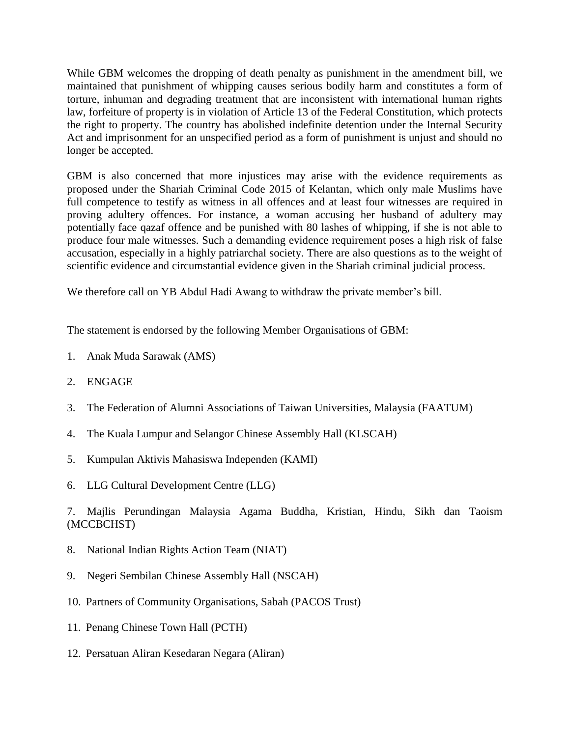While GBM welcomes the dropping of death penalty as punishment in the amendment bill, we maintained that punishment of whipping causes serious bodily harm and constitutes a form of torture, inhuman and degrading treatment that are inconsistent with international human rights law, forfeiture of property is in violation of Article 13 of the Federal Constitution, which protects the right to property. The country has abolished indefinite detention under the Internal Security Act and imprisonment for an unspecified period as a form of punishment is unjust and should no longer be accepted.

GBM is also concerned that more injustices may arise with the evidence requirements as proposed under the Shariah Criminal Code 2015 of Kelantan, which only male Muslims have full competence to testify as witness in all offences and at least four witnesses are required in proving adultery offences. For instance, a woman accusing her husband of adultery may potentially face qazaf offence and be punished with 80 lashes of whipping, if she is not able to produce four male witnesses. Such a demanding evidence requirement poses a high risk of false accusation, especially in a highly patriarchal society. There are also questions as to the weight of scientific evidence and circumstantial evidence given in the Shariah criminal judicial process.

We therefore call on YB Abdul Hadi Awang to withdraw the private member's bill.

The statement is endorsed by the following Member Organisations of GBM:

- 1. Anak Muda Sarawak (AMS)
- 2. ENGAGE
- 3. The Federation of Alumni Associations of Taiwan Universities, Malaysia (FAATUM)
- 4. The Kuala Lumpur and Selangor Chinese Assembly Hall (KLSCAH)
- 5. Kumpulan Aktivis Mahasiswa Independen (KAMI)
- 6. LLG Cultural Development Centre (LLG)

7. Majlis Perundingan Malaysia Agama Buddha, Kristian, Hindu, Sikh dan Taoism (MCCBCHST)

- 8. National Indian Rights Action Team (NIAT)
- 9. Negeri Sembilan Chinese Assembly Hall (NSCAH)
- 10. Partners of Community Organisations, Sabah (PACOS Trust)
- 11. Penang Chinese Town Hall (PCTH)
- 12. Persatuan Aliran Kesedaran Negara (Aliran)